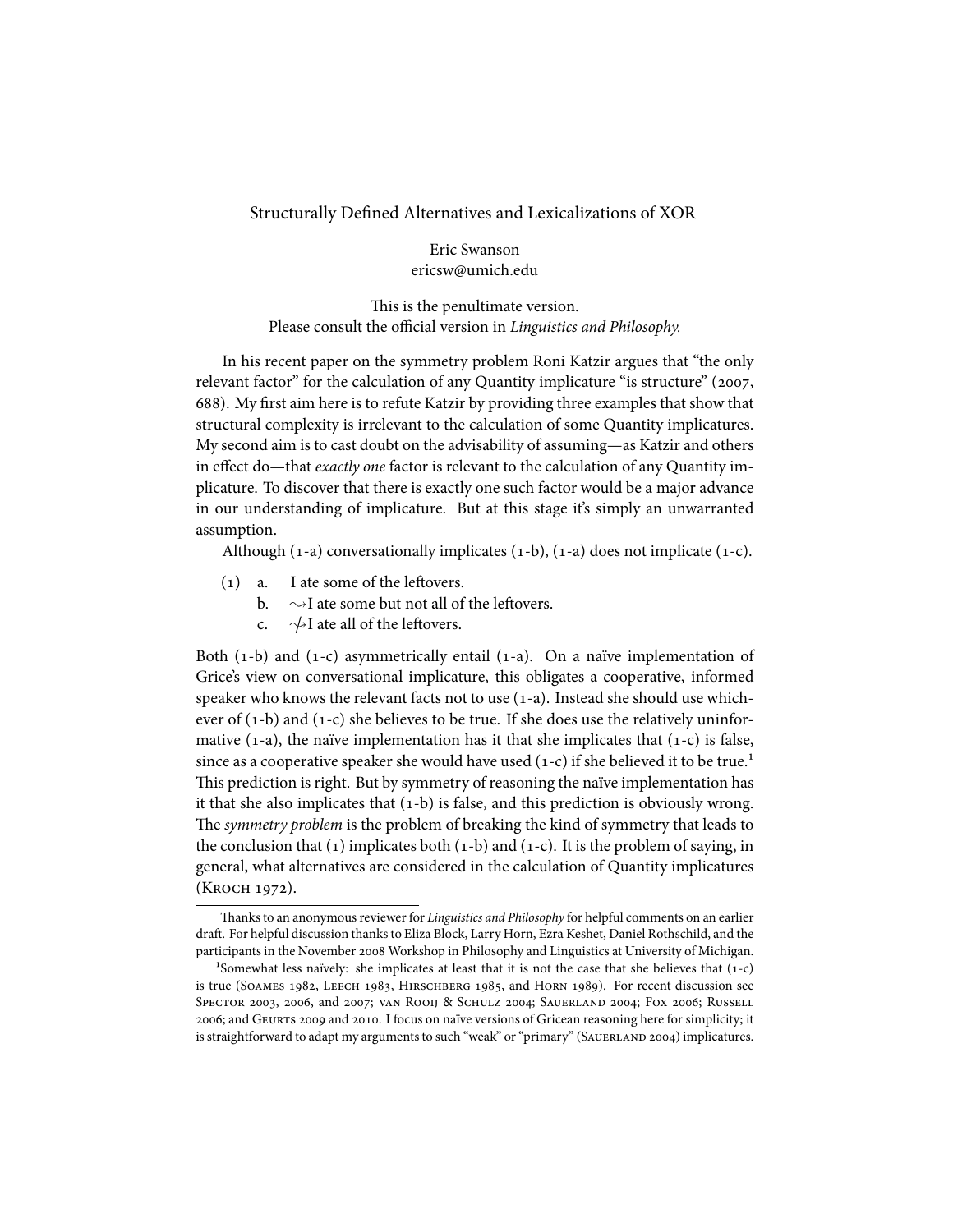## Structurally Defined Alternatives and Lexicalizations of XOR

Eric Swanson ericsw@umich.edu

This is the penultimate version. Please consult the official version in *Linguistics and Philosophy.*

In his recent paper on the symmetry problem Roni Katzir argues that "the only relevant factor" for the calculation of any Quantity implicature "is structure" (2007, 688). My first aim here is to refute Katzir by providing three examples that show that structural complexity is irrelevant to the calculation of some Quantity implicatures. My second aim is to cast doubt on the advisability of assuming—as Katzir and others in effect do—that *exactly one* factor is relevant to the calculation of any Quantity implicature. To discover that there is exactly one such factor would be a major advance in our understanding of implicature. But at this stage it's simply an unwarranted assumption.

Although  $(1-a)$  conversationally implicates  $(1-b)$ ,  $(1-a)$  does not implicate  $(1-c)$ .

- $(1)$  a. I ate some of the leftovers.
	- b.  $\sim$ I ate some but not all of the leftovers.
	- c.  $\sqrt{\frac{1}{2}}$  ate all of the leftovers.

Both  $(1-b)$  and  $(1-c)$  asymmetrically entail  $(1-a)$ . On a naïve implementation of Grice's view on conversational implicature, this obligates a cooperative, informed speaker who knows the relevant facts not to use  $(1-a)$ . Instead she should use whichever of  $(1-b)$  and  $(1-c)$  she believes to be true. If she does use the relatively uninformative  $(1-a)$ , the naïve implementation has it that she implicates that  $(1-c)$  is false, since as a cooperative speaker she would have used  $(1-c)$  if she believed it to be true.<sup>1</sup> This prediction is right. But by symmetry of reasoning the naïve implementation has it that she also implicates that  $(1-b)$  is false, and this prediction is obviously wrong. The *symmetry problem* is the problem of breaking the kind of symmetry that leads to the conclusion that  $(1)$  implicates both  $(1-b)$  and  $(1-c)$ . It is the problem of saying, in general, what alternatives are considered in the calculation of Quantity implicatures (К косн 1972).

Thanks to an anonymous reviewer for *Linguistics and Philosophy* for helpful comments on an earlier draft. For helpful discussion thanks to Eliza Block, Larry Horn, Ezra Keshet, Daniel Rothschild, and the participants in the November 2008 Workshop in Philosophy and Linguistics at University of Michigan.

<sup>&</sup>lt;sup>1</sup>Somewhat less naïvely: she implicates at least that it is not the case that she believes that  $(1-c)$ is true (SOAMES 1982, LEECH 1983, HIRSCHBERG 1985, and HORN 1989). For recent discussion see SPECTOR 2003, 2006, and 2007; VAN ROOIJ & SCHULZ 2004; SAUERLAND 2004; FOX 2006; RUSSELL 2006; and GEURTS 2009 and 2010. I focus on naïve versions of Gricean reasoning here for simplicity; it is straightforward to adapt my arguments to such "weak" or "primary" (SAUERLAND 2004) implicatures.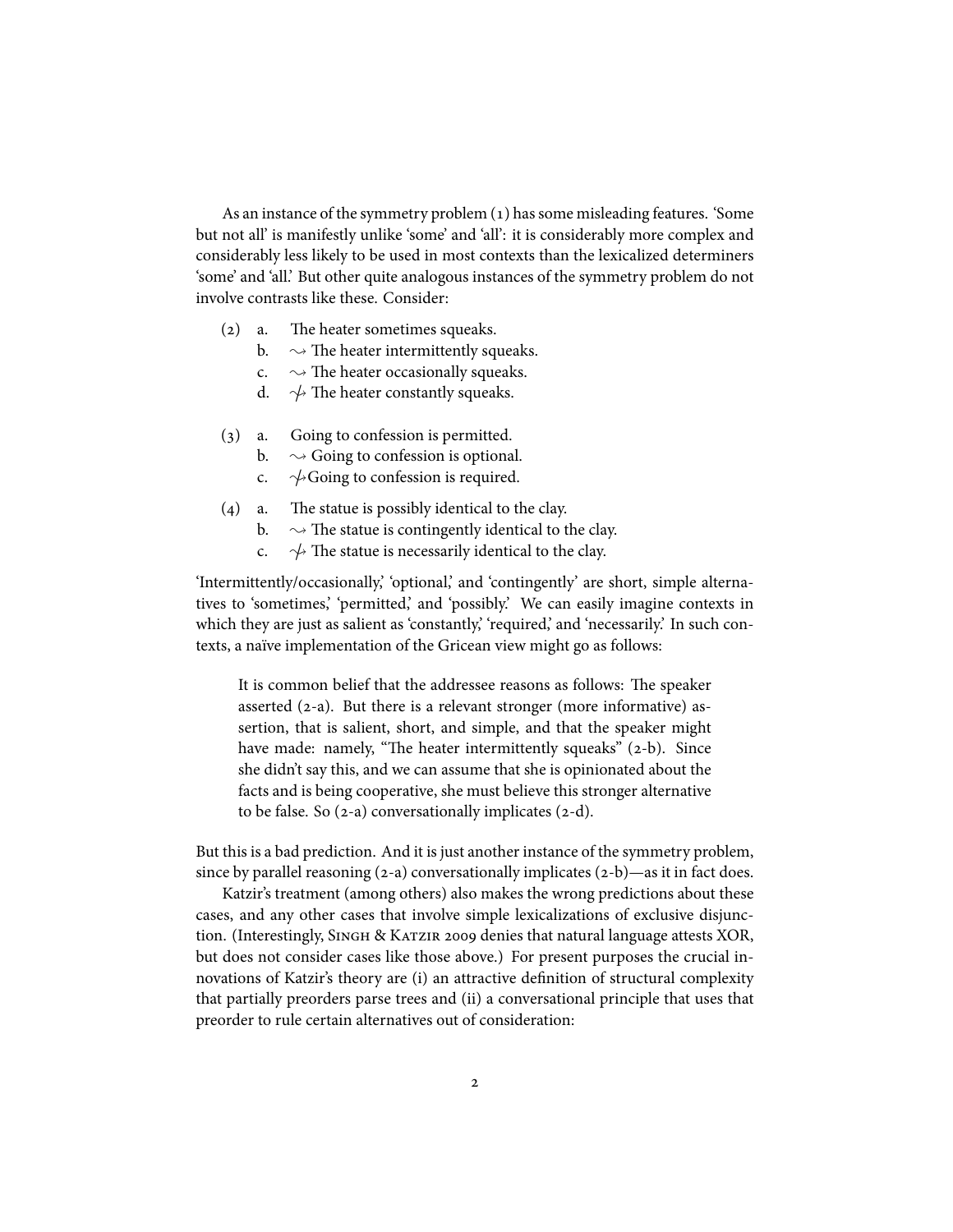As an instance of the symmetry problem (1) has some misleading features. 'Some but not all' is manifestly unlike 'some' and 'all': it is considerably more complex and considerably less likely to be used in most contexts than the lexicalized determiners 'some' and 'all.' But other quite analogous instances of the symmetry problem do not involve contrasts like these. Consider:

- $(2)$  a. The heater sometimes squeaks.
	- b.  $\sim$  The heater intermittently squeaks.<br>c.  $\sim$  The heater occasionally squeaks.
	- c.  $\rightarrow$  The heater occasionally squeaks.<br>d.  $\rightarrow$  The heater constantly squeaks.
	- $\rightsquigarrow$  The heater constantly squeaks.
- () a. Going to confession is permitted.
	- b.  $\sim$  Going to confession is optional.<br>c.  $\sim$  Going to confession is required.
	- $\sim$  Going to confession is required.
- $(4)$  a. The statue is possibly identical to the clay.
	- b.  $\rightarrow$  The statue is contingently identical to the clay.<br>c.  $\rightarrow$  The statue is necessarily identical to the clay.
		- $\rightarrow$  The statue is necessarily identical to the clay.

'Intermittently/occasionally,' 'optional,' and 'contingently' are short, simple alternatives to 'sometimes,' 'permitted,' and 'possibly.' We can easily imagine contexts in which they are just as salient as 'constantly,' 'required,' and 'necessarily.' In such contexts, a naïve implementation of the Gricean view might go as follows:

It is common belief that the addressee reasons as follows: The speaker asserted  $(2-a)$ . But there is a relevant stronger (more informative) assertion, that is salient, short, and simple, and that the speaker might have made: namely, "The heater intermittently squeaks"  $(2-b)$ . Since she didn't say this, and we can assume that she is opinionated about the facts and is being cooperative, she must believe this stronger alternative to be false. So  $(2-a)$  conversationally implicates  $(2-d)$ .

But this is a bad prediction. And it is just another instance of the symmetry problem, since by parallel reasoning  $(2-a)$  conversationally implicates  $(2-b)$ —as it in fact does.

Katzir's treatment (among others) also makes the wrong predictions about these cases, and any other cases that involve simple lexicalizations of exclusive disjunction. (Interestingly, SINGH & KATZIR 2009 denies that natural language attests XOR, but does not consider cases like those above.) For present purposes the crucial innovations of Katzir's theory are (i) an attractive definition of structural complexity that partially preorders parse trees and (ii) a conversational principle that uses that preorder to rule certain alternatives out of consideration: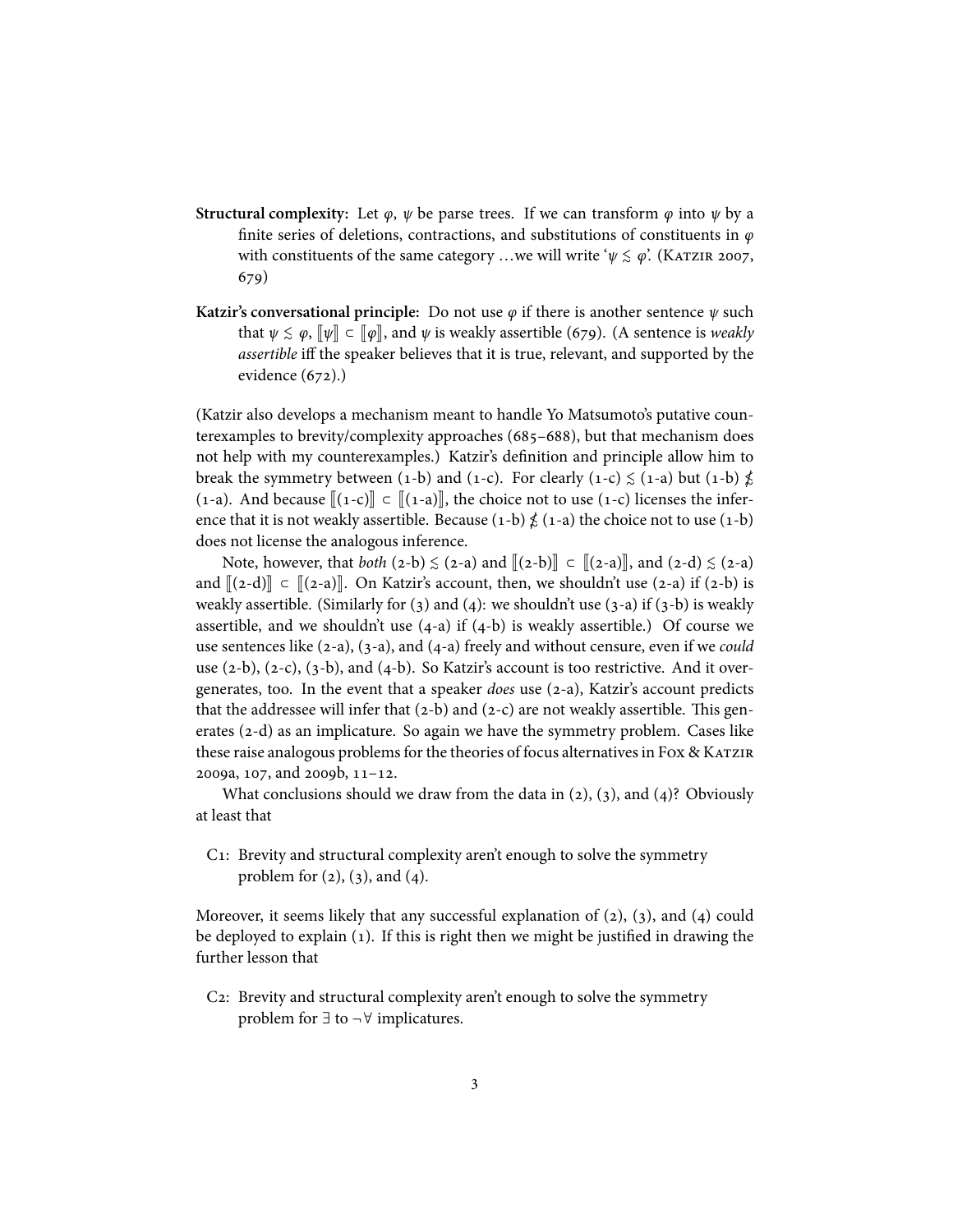- **Structural complexity:** Let  $\varphi$ ,  $\psi$  be parse trees. If we can transform  $\varphi$  into  $\psi$  by a finite series of deletions, contractions, and substitutions of constituents in  $\varphi$ with constituents of the same category ...we will write ' $\psi \lesssim \varphi$ '. (KATZIR 2007, 679)
- **Katzir's conversational principle:** Do not use  $\varphi$  if there is another sentence  $\psi$  such that  $\psi \leq \varphi$ ,  $\lbrack \lbrack \psi \rbrack \rbrack \subset \lbrack \varphi \rbrack$ , and  $\psi$  is weakly assertible (679). (A sentence is *weakly assertible* iff the speaker believes that it is true, relevant, and supported by the evidence  $(672)$ .)

(Katzir also develops a mechanism meant to handle Yo Matsumoto's putative counterexamples to brevity/complexity approaches (685-688), but that mechanism does not help with my counterexamples.) Katzir's definition and principle allow him to break the symmetry between (1-b) and (1-c). For clearly (1-c)  $\leq$  (1-a) but (1-b)  $\nleq$ (1-a). And because  $\lbrack 1-c \rbrack \rbrack \rbrack -c \rbrack \rbrack$   $\lbrack 1-a \rbrack \rbrack$ , the choice not to use (1-c) licenses the inference that it is not weakly assertible. Because  $(1-b) \nleq (1-a)$  the choice not to use  $(1-b)$ does not license the analogous inference.

Note, however, that *both* (2-b)  $\leq$  (2-a) and  $\llbracket$ (2-b) $\rrbracket$   $\subset$   $\llbracket$ (2-a) $\rrbracket$ , and (2-d)  $\leq$  (2-a) and  $[(2-d)] \subset [(2-a)]$ . On Katzir's account, then, we shouldn't use (2-a) if (2-b) is weakly assertible. (Similarly for  $(3)$  and  $(4)$ : we shouldn't use  $(3-a)$  if  $(3-b)$  is weakly assertible, and we shouldn't use  $(4-a)$  if  $(4-b)$  is weakly assertible.) Of course we use sentences like  $(2-a)$ ,  $(3-a)$ , and  $(4-a)$  freely and without censure, even if we *could* use  $(2-b)$ ,  $(2-c)$ ,  $(3-b)$ , and  $(4-b)$ . So Katzir's account is too restrictive. And it overgenerates, too. In the event that a speaker *does* use (2-a), Katzir's account predicts that the addressee will infer that  $(2-b)$  and  $(2-c)$  are not weakly assertible. This generates  $(2-d)$  as an implicature. So again we have the symmetry problem. Cases like these raise analogous problems for the theories of focus alternatives in Fox & KATZIR  $2009a$ ,  $107$ , and  $2009b$ ,  $11-12$ .

What conclusions should we draw from the data in  $(2)$ ,  $(3)$ , and  $(4)$ ? Obviously at least that

C: Brevity and structural complexity aren't enough to solve the symmetry problem for  $(2)$ ,  $(3)$ , and  $(4)$ .

Moreover, it seems likely that any successful explanation of  $(2)$ ,  $(3)$ , and  $(4)$  could be deployed to explain  $(1)$ . If this is right then we might be justified in drawing the further lesson that

C<sub>2</sub>: Brevity and structural complexity aren't enough to solve the symmetry problem for  $∃$  to  $¬∀$  implicatures.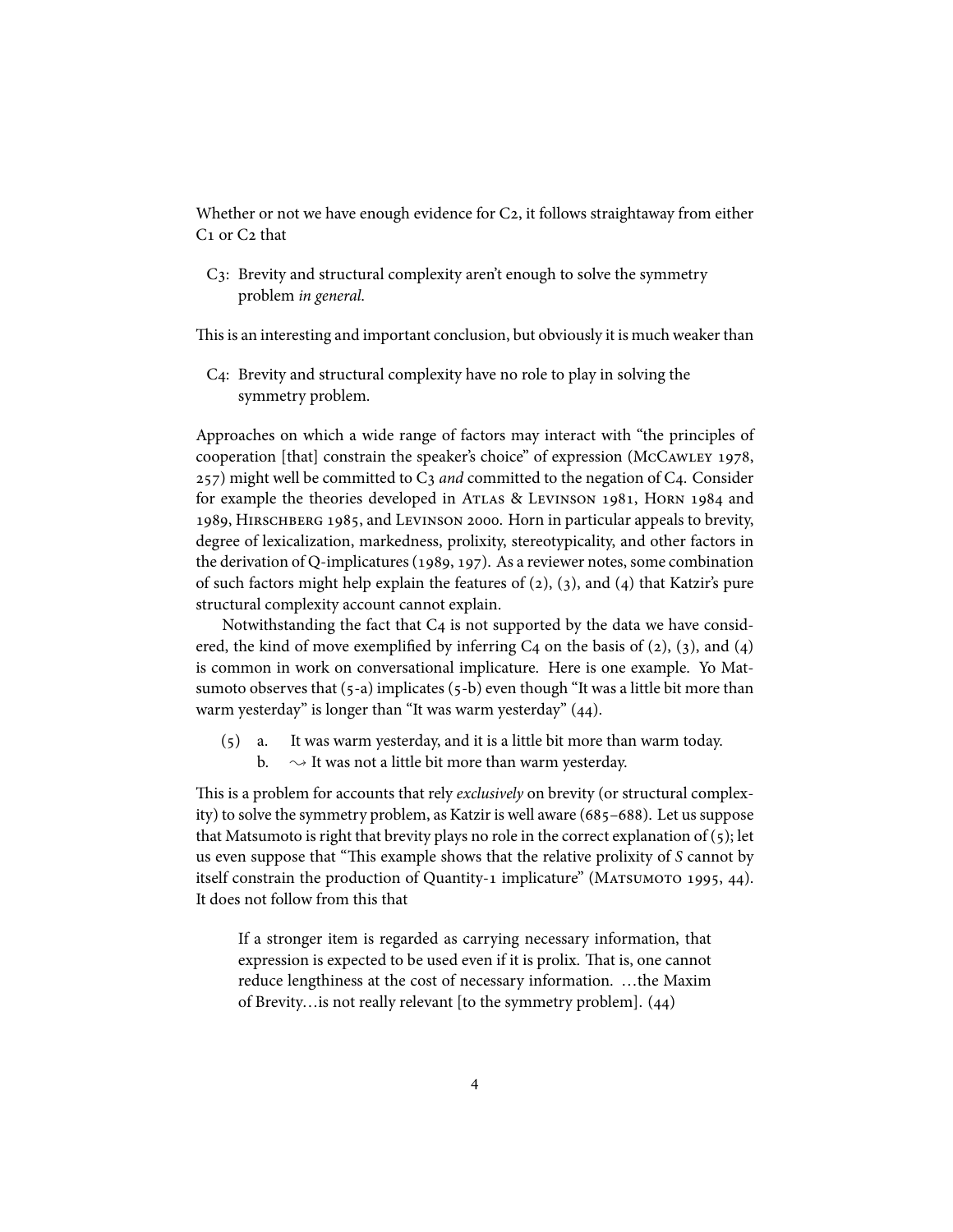Whether or not we have enough evidence for  $C_2$ , it follows straightaway from either  $C_1$  or  $C_2$  that

C: Brevity and structural complexity aren't enough to solve the symmetry problem *in general*.

This is an interesting and important conclusion, but obviously it is much weaker than

C4: Brevity and structural complexity have no role to play in solving the symmetry problem.

Approaches on which a wide range of factors may interact with "the principles of cooperation [that] constrain the speaker's choice" of expression (McCAWLEY 1978,  $(257)$  might well be committed to  $C_3$  *and* committed to the negation of  $C_4$ . Consider for example the theories developed in ATLAS & LEVINSON 1981, HORN 1984 and 1989, HIRSCHBERG 1985, and LEVINSON 2000. Horn in particular appeals to brevity, degree of lexicalization, markedness, prolixity, stereotypicality, and other factors in the derivation of Q-implicatures (1989, 197). As a reviewer notes, some combination of such factors might help explain the features of  $(2)$ ,  $(3)$ , and  $(4)$  that Katzir's pure structural complexity account cannot explain.

Notwithstanding the fact that  $C_4$  is not supported by the data we have considered, the kind of move exemplified by inferring  $C_4$  on the basis of (2), (3), and (4) is common in work on conversational implicature. Here is one example. Yo Matsumoto observes that  $(5-a)$  implicates  $(5-b)$  even though "It was a little bit more than warm yesterday" is longer than "It was warm yesterday"  $(44)$ .

 $(5)$  a. It was warm yesterday, and it is a little bit more than warm today. b.  $\sim$  It was not a little bit more than warm yesterday.

This is a problem for accounts that rely *exclusively* on brevity (or structural complexity) to solve the symmetry problem, as Katzir is well aware  $(685-688)$ . Let us suppose that Matsumoto is right that brevity plays no role in the correct explanation of  $(5)$ ; let us even suppose that "This example shows that the relative prolixity of *S* cannot by itself constrain the production of Quantity-1 implicature" (MATSUMOTO 1995, 44). It does not follow from this that

If a stronger item is regarded as carrying necessary information, that expression is expected to be used even if it is prolix. That is, one cannot reduce lengthiness at the cost of necessary information. …the Maxim of Brevity... is not really relevant [to the symmetry problem].  $(44)$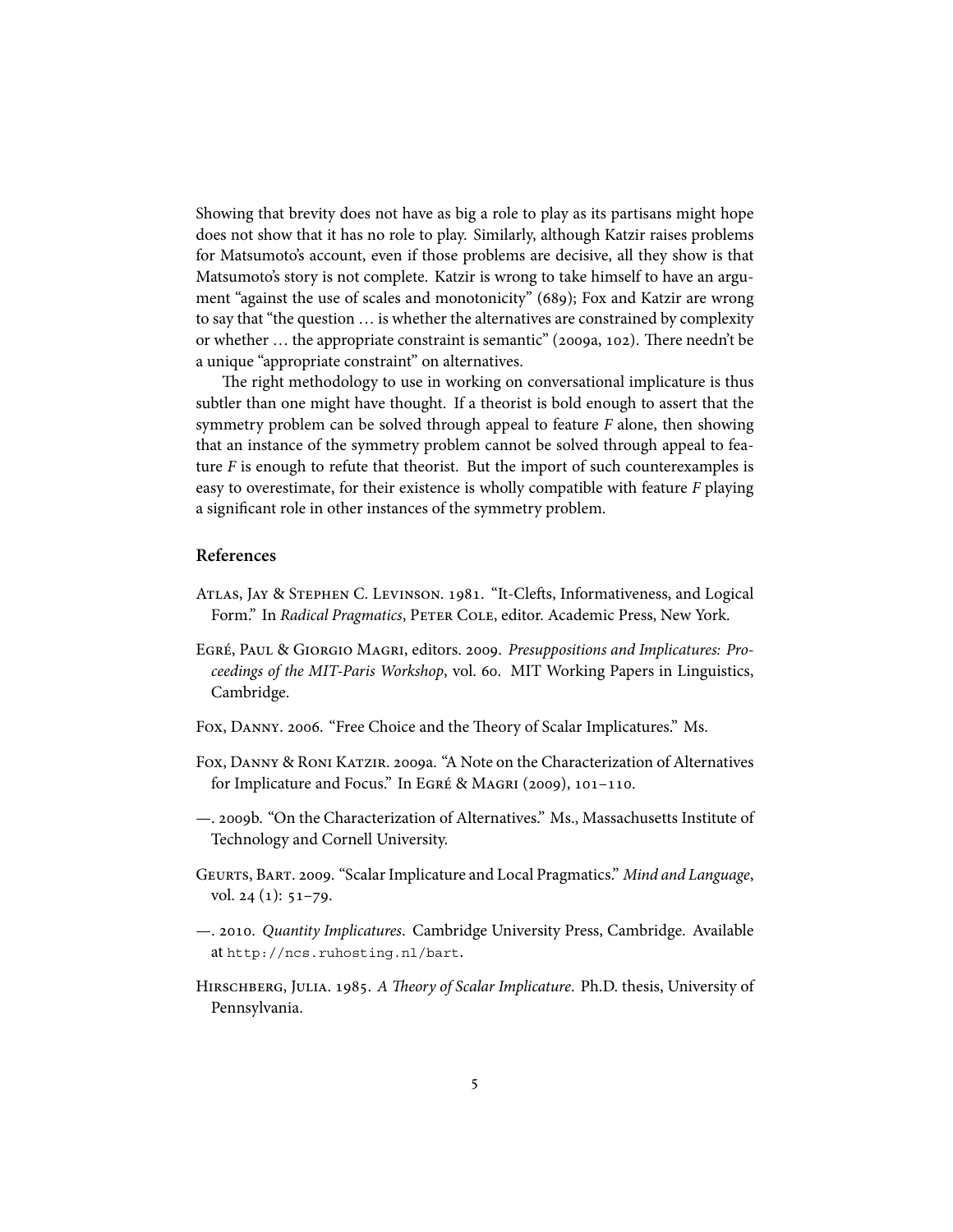Showing that brevity does not have as big a role to play as its partisans might hope does not show that it has no role to play. Similarly, although Katzir raises problems for Matsumoto's account, even if those problems are decisive, all they show is that Matsumoto's story is not complete. Katzir is wrong to take himself to have an argument "against the use of scales and monotonicity" (689); Fox and Katzir are wrong to say that "the question … is whether the alternatives are constrained by complexity or whether  $\ldots$  the appropriate constraint is semantic" (2009a, 102). There needn't be a unique "appropriate constraint" on alternatives.

The right methodology to use in working on conversational implicature is thus subtler than one might have thought. If a theorist is bold enough to assert that the symmetry problem can be solved through appeal to feature *F* alone, then showing that an instance of the symmetry problem cannot be solved through appeal to feature  $F$  is enough to refute that theorist. But the import of such counterexamples is easy to overestimate, for their existence is wholly compatible with feature *F* playing a significant role in other instances of the symmetry problem.

## **References**

- ATLAS, JAY & STEPHEN C. LEVINSON. 1981. "It-Clefts, Informativeness, and Logical Form." In *Radical Pragmatics*, PETER COLE, editor. Academic Press, New York.
- EGRÉ, PAUL & GIORGIO MAGRI, editors. 2009. Presuppositions and Implicatures: Pro*ceedings of the MIT-Paris Workshop*, vol. 60. MIT Working Papers in Linguistics, Cambridge.
- FOX, DANNY. 2006. "Free Choice and the Theory of Scalar Implicatures." Ms.
- FOX, DANNY & RONI KATZIR. 2009a. "A Note on the Characterization of Alternatives for Implicature and Focus." In EGRÉ & MAGRI (2009),  $101-110$ .
- —. b. "On the Characterization of Alternatives." Ms., Massachusetts Institute of Technology and Cornell University.
- G, B. . "Scalar Implicature and Local Pragmatics." *Mind and Language*, vol.  $24$  (1):  $51-79$ .
- —. . *Quantity Implicatures*. Cambridge University Press, Cambridge. Available at http://ncs.ruhosting.nl/bart.
- HIRSCHBERG, JULIA. 1985. A Theory of Scalar Implicature. Ph.D. thesis, University of Pennsylvania.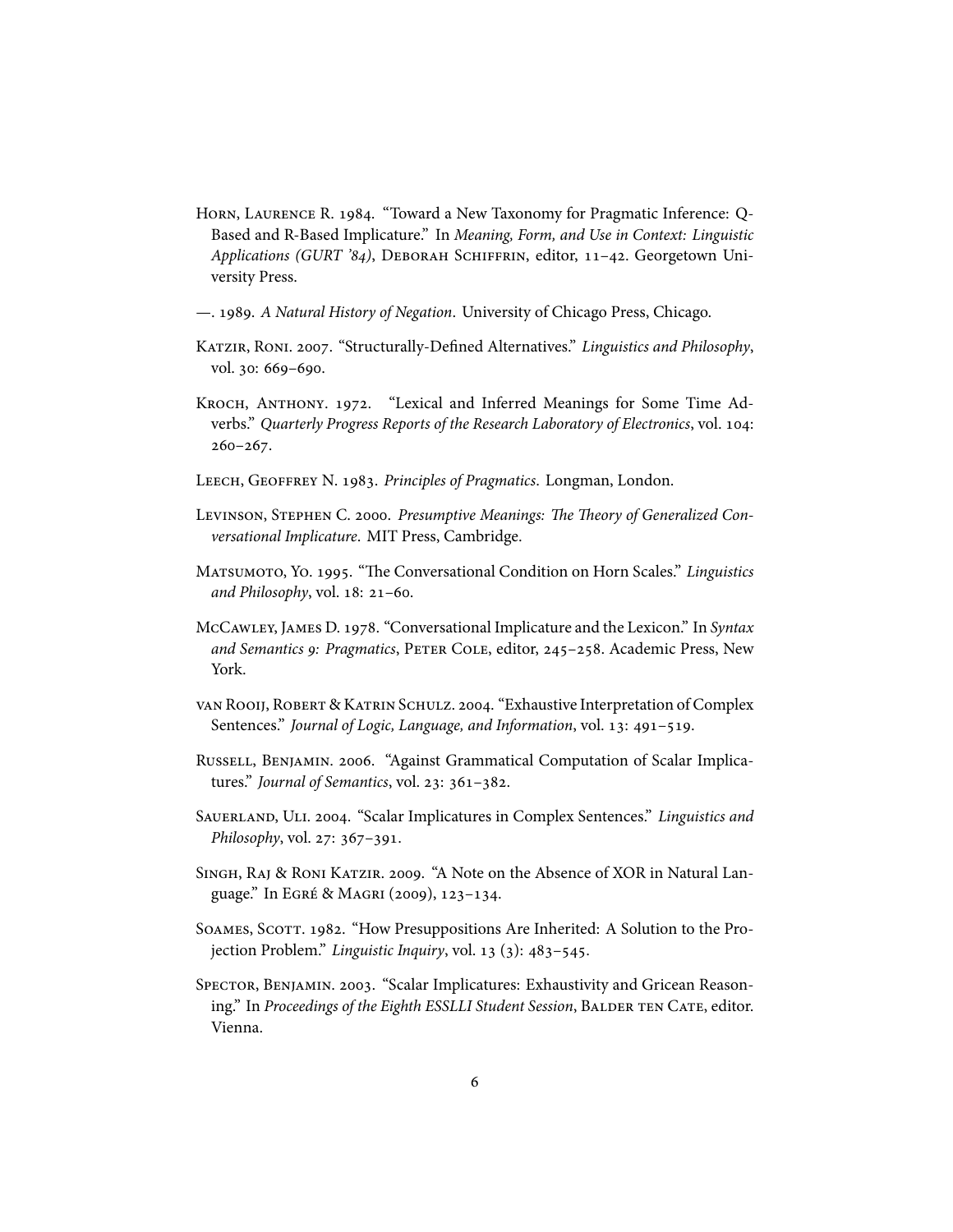- HORN, LAURENCE R. 1984. "Toward a New Taxonomy for Pragmatic Inference: Q-Based and R-Based Implicature." In *Meaning, Form, and Use in Context: Linguistic* Applications (GURT '84), DEBORAH SCHIFFRIN, editor, 11-42. Georgetown University Press.
- —. . *A Natural History of Negation*. University of Chicago Press, Chicago.
- KATZIR, RONI. 2007. "Structurally-Defined Alternatives." Linguistics and Philosophy, vol. 30: 669-690.
- KROCH, ANTHONY. 1972. "Lexical and Inferred Meanings for Some Time Adverbs." Quarterly Progress Reports of the Research Laboratory of Electronics, vol. 104:  $260 - 267.$
- LEECH, GEOFFREY N. 1983. Principles of Pragmatics. Longman, London.
- LEVINSON, STEPHEN C. 2000. Presumptive Meanings: The Theory of Generalized Con*versational Implicature*. MIT Press, Cambridge.
- MATSUMOTO, YO. 1995. "The Conversational Condition on Horn Scales." *Linguistics* and Philosophy, vol. 18: 21-60.
- McCAWLEY, JAMES D. 1978. "Conversational Implicature and the Lexicon." In *Syntax* and Semantics 9: Pragmatics, PETER COLE, editor, 245-258. Academic Press, New York.
- VAN ROOIJ, ROBERT & KATRIN SCHULZ. 2004. "Exhaustive Interpretation of Complex Sentences." *Journal of Logic, Language, and Information*, vol. 13: 491-519.
- RUSSELL, BENJAMIN. 2006. "Against Grammatical Computation of Scalar Implicatures." *Journal of Semantics*, vol. 23: 361-382.
- SAUERLAND, ULI. 2004. "Scalar Implicatures in Complex Sentences." *Linguistics and Philosophy*, vol. 27: 367-391.
- SINGH, RAJ & RONI KATZIR. 2009. "A Note on the Absence of XOR in Natural Language." In EGRÉ & MAGRI (2009), 123-134.
- SOAMES, SCOTT. 1982. "How Presuppositions Are Inherited: A Solution to the Projection Problem." *Linguistic Inquiry*, vol. 13 (3): 483-545.
- SPECTOR, BENJAMIN. 2003. "Scalar Implicatures: Exhaustivity and Gricean Reasoning." In *Proceedings of the Eighth ESSLLI Student Session*, BALDER TEN CATE, editor. Vienna.